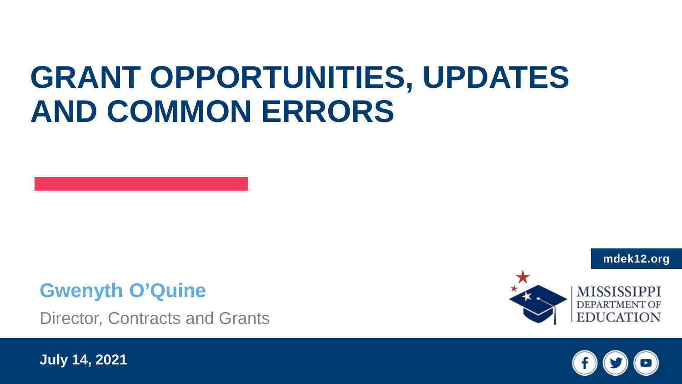## **GRANT OPPORTUNITIES, UPDATES AND COMMON ERRORS**

#### **Gwenyth O'Quine**

Director, Contracts and Grants

**July 14, 2021**





**mdek12.org**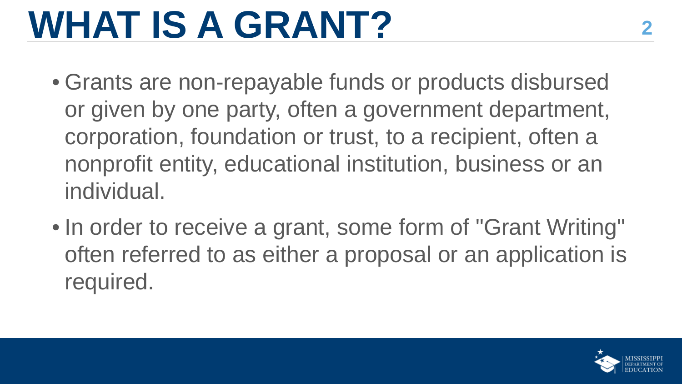## WHAT IS A GRANT?

- Grants are non-repayable funds or products disbursed or given by one party, often a government department, corporation, foundation or trust, to a recipient, often a nonprofit entity, educational institution, business or an individual.
- In order to receive a grant, some form of "Grant Writing" often referred to as either a proposal or an application is required.

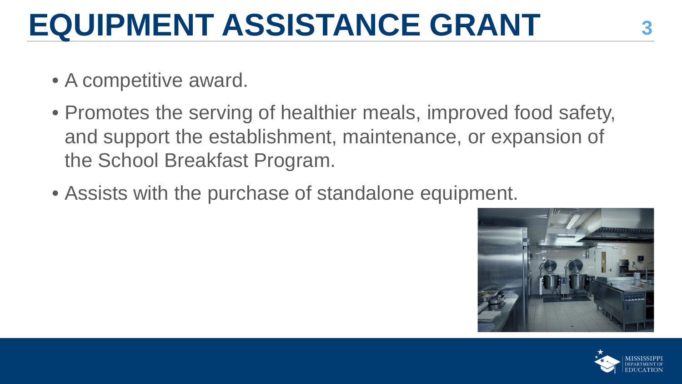## **EQUIPMENT ASSISTANCE GRANT <sup>3</sup>**

- A competitive award.
- Promotes the serving of healthier meals, improved food safety, and support the establishment, maintenance, or expansion of the School Breakfast Program.
- Assists with the purchase of standalone equipment.



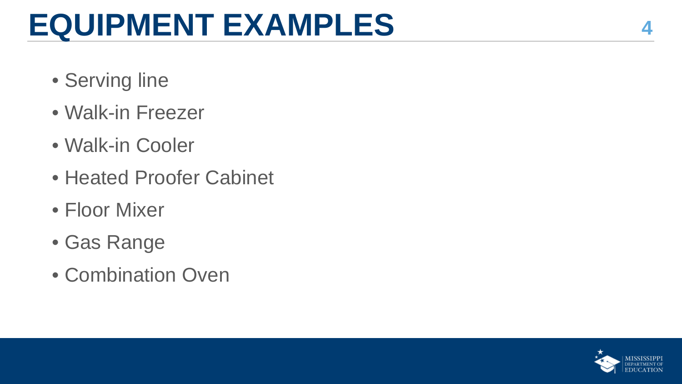## **EQUIPMENT EXAMPLES <sup>4</sup>**

- Serving line
- Walk-in Freezer
- Walk-in Cooler
- Heated Proofer Cabinet
- Floor Mixer
- Gas Range
- Combination Oven

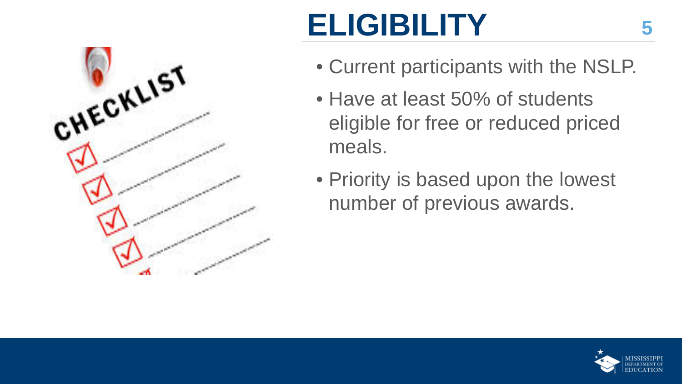# CHECKLIST

## **ELIGIBILITY**

- Current participants with the NSLP.
- Have at least 50% of students eligible for free or reduced priced meals.
- Priority is based upon the lowest number of previous awards.

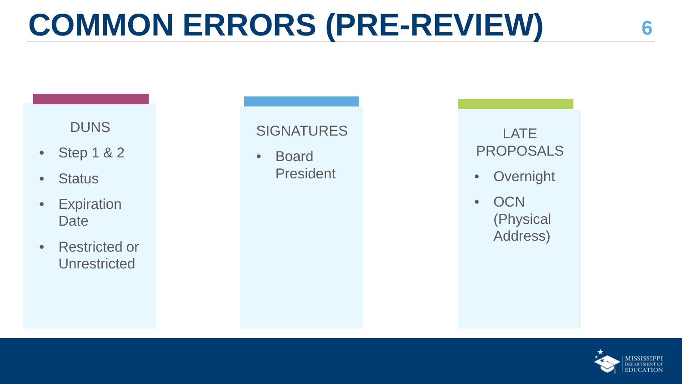## **COMMON ERRORS (PRE-REVIEW) <sup>6</sup>**

#### **DUNS**

- Step 1 & 2
- Status
- Expiration **Date**
- Restricted or **Unrestricted**

#### **SIGNATURES**

• Board President

#### LATE PROPOSALS

- **Overnight**
- OCN (Physical Address)

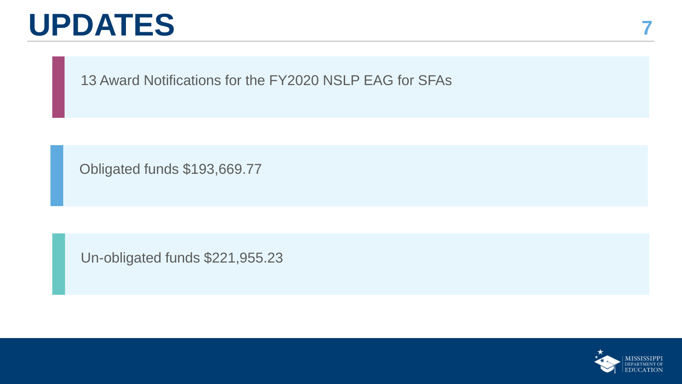### **UPDATES**

**7**

13 Award Notifications for the FY2020 NSLP EAG for SFAs

Obligated funds \$193,669.77

Un-obligated funds \$221,955.23

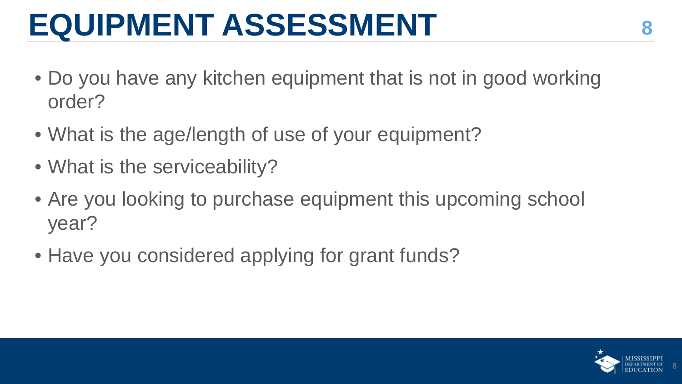## **EQUIPMENT ASSESSMENT <sup>8</sup>**

- Do you have any kitchen equipment that is not in good working order?
- What is the age/length of use of your equipment?
- What is the serviceability?
- Are you looking to purchase equipment this upcoming school year?
- Have you considered applying for grant funds?

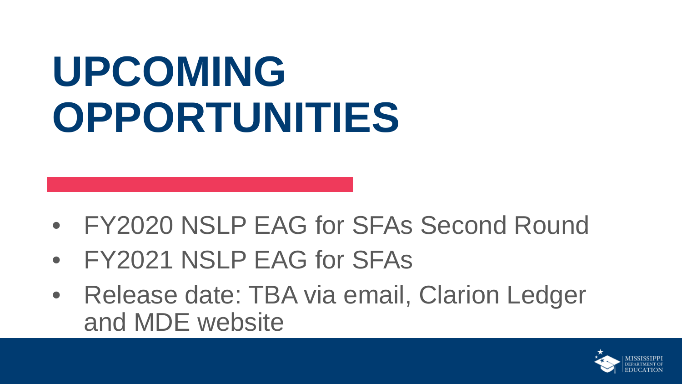# **UPCOMING OPPORTUNITIES**

- FY2020 NSLP EAG for SFAs Second Round
- FY2021 NSLP EAG for SFAs
- Release date: TBA via email, Clarion Ledger and MDE website